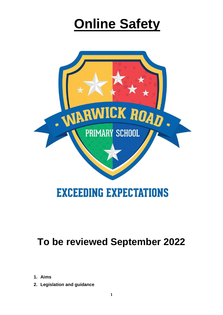# **Online Safety**



## **EXCEEDING EXPECTATIONS**

## **To be reviewed September 2022**

- **1. Aims**
- **2. Legislation and guidance**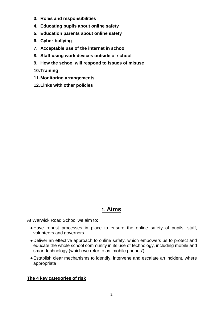- **3. Roles and responsibilities**
- **4. Educating pupils about online safety**
- **5. Education parents about online safety**
- **6. Cyber-bullying**
- **7. Acceptable use of the internet in school**
- **8. Staff using work devices outside of school**
- **9. How the school will respond to issues of misuse**
- **10.Training**
- **11.Monitoring arrangements**
- **12.Links with other policies**

### **1. Aims**

At Warwick Road School we aim to:

- ●Have robust processes in place to ensure the online safety of pupils, staff, volunteers and governors
- ●Deliver an effective approach to online safety, which empowers us to protect and educate the whole school community in its use of technology, including mobile and smart technology (which we refer to as 'mobile phones')
- ●Establish clear mechanisms to identify, intervene and escalate an incident, where appropriate

#### **The 4 key categories of risk**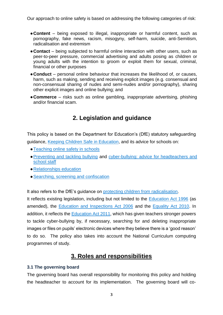Our approach to online safety is based on addressing the following categories of risk:

- ●**Content** being exposed to illegal, inappropriate or harmful content, such as pornography, fake news, racism, misogyny, self-harm, suicide, anti-Semitism, radicalisation and extremism
- ●**Contact** being subjected to harmful online interaction with other users, such as peer-to-peer pressure, commercial advertising and adults posing as children or young adults with the intention to groom or exploit them for sexual, criminal, financial or other purposes
- ●**Conduct** personal online behaviour that increases the likelihood of, or causes, harm, such as making, sending and receiving explicit images (e.g. consensual and non-consensual sharing of nudes and semi-nudes and/or pornography), sharing other explicit images and online bullying; and
- ●**Commerce** risks such as online gambling, inappropriate advertising, phishing and/or financial scam.

## **2. Legislation and guidance**

This policy is based on the Department for Education's (DfE) statutory safeguarding guidance, [Keeping Children Safe in Education,](https://www.gov.uk/government/publications/keeping-children-safe-in-education--2) and its advice for schools on:

- [Teaching online safety in schools](https://www.gov.uk/government/publications/teaching-online-safety-in-schools)
- ●[Preventing and tackling bullying](https://www.gov.uk/government/publications/preventing-and-tackling-bullying) and [cyber-bullying: advice for headteachers and](https://www.gov.uk/government/publications/preventing-and-tackling-bullying)  [school staff](https://www.gov.uk/government/publications/preventing-and-tackling-bullying)
- ●Relationships education
- [Searching, screening and confiscation](https://www.gov.uk/government/publications/searching-screening-and-confiscation)

It also refers to the DfE's guidance on [protecting children from radicalisation.](https://www.gov.uk/government/publications/protecting-children-from-radicalisation-the-prevent-duty)

It reflects existing legislation, including but not limited to the [Education Act 1996](https://www.legislation.gov.uk/ukpga/1996/56/contents) (as amended), the [Education and Inspections Act 2006](https://www.legislation.gov.uk/ukpga/2006/40/contents) and the [Equality Act 2010.](https://www.legislation.gov.uk/ukpga/2010/15/contents) In addition, it reflects the [Education Act 2011,](http://www.legislation.gov.uk/ukpga/2011/21/contents/enacted) which has given teachers stronger powers to tackle cyber-bullying by, if necessary, searching for and deleting inappropriate images or files on pupils' electronic devices where they believe there is a 'good reason' to do so. The policy also takes into account the National Curriculum computing programmes of study.

## **3. Roles and responsibilities**

#### **3.1 The governing board**

The governing board has overall responsibility for monitoring this policy and holding the headteacher to account for its implementation.The governing board will co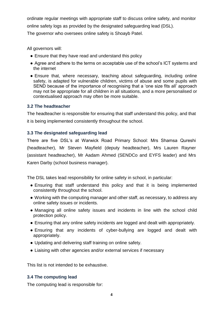ordinate regular meetings with appropriate staff to discuss online safety, and monitor online safety logs as provided by the designated safeguarding lead (DSL).

The governor who oversees online safety is Shoayb Patel.

All governors will:

- Ensure that they have read and understand this policy
- Agree and adhere to the terms on acceptable use of the school's ICT systems and the internet
- Ensure that, where necessary, teaching about safeguarding, including online safety, is adapted for vulnerable children, victims of abuse and some pupils with SEND because of the importance of recognising that a 'one size fits all' approach may not be appropriate for all children in all situations, and a more personalised or contextualised approach may often be more suitable.

#### **3.2 The headteacher**

The headteacher is responsible for ensuring that staff understand this policy, and that it is being implemented consistently throughout the school.

#### **3.3 The designated safeguarding lead**

There are five DSL's at Warwick Road Primary School: Mrs Shamsa Qureshi (headteacher), Mr Steven Mayfield (deputy headteacher), Mrs Lauren Rayner (assistant headteacher), Mr Aadam Ahmed (SENDCo and EYFS leader) and Mrs Karen Darby (school business manager).

The DSL takes lead responsibility for online safety in school, in particular:

- Ensuring that staff understand this policy and that it is being implemented consistently throughout the school.
- Working with the computing manager and other staff, as necessary, to address any online safety issues or incidents.
- Managing all online safety issues and incidents in line with the school child protection policy.
- Ensuring that any online safety incidents are logged and dealt with appropriately.
- Ensuring that any incidents of cyber-bullying are logged and dealt with appropriately.
- Updating and delivering staff training on online safety.
- Liaising with other agencies and/or external services if necessary

This list is not intended to be exhaustive.

#### **3.4 The computing lead**

The computing lead is responsible for: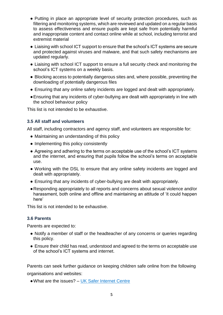- Putting in place an appropriate level of security protection procedures, such as filtering and monitoring systems, which are reviewed and updated on a regular basis to assess effectiveness and ensure pupils are kept safe from potentially harmful and inappropriate content and contact online while at school, including terrorist and extremist material
- Liaising with school ICT support to ensure that the school's ICT systems are secure and protected against viruses and malware, and that such safety mechanisms are updated regularly.
- Liaising with school ICT support to ensure a full security check and monitoring the school's ICT systems on a weekly basis.
- Blocking access to potentially dangerous sites and, where possible, preventing the downloading of potentially dangerous files
- Ensuring that any online safety incidents are logged and dealt with appropriately.
- ●Ensuring that any incidents of cyber-bullying are dealt with appropriately in line with the school behaviour policy

This list is not intended to be exhaustive.

#### **3.5 All staff and volunteers**

All staff, including contractors and agency staff, and volunteers are responsible for:

- Maintaining an understanding of this policy
- Implementing this policy consistently
- Agreeing and adhering to the terms on acceptable use of the school's ICT systems and the internet, and ensuring that pupils follow the school's terms on acceptable use.
- Working with the DSL to ensure that any online safety incidents are logged and dealt with appropriately.
- Ensuring that any incidents of cyber-bullying are dealt with appropriately.
- ●Responding appropriately to all reports and concerns about sexual violence and/or harassment, both online and offline and maintaining an attitude of 'it could happen here'

This list is not intended to be exhaustive.

#### **3.6 Parents**

Parents are expected to:

- Notify a member of staff or the headteacher of any concerns or queries regarding this policy.
- Ensure their child has read, understood and agreed to the terms on acceptable use of the school's ICT systems and internet.

Parents can seek further guidance on keeping children safe online from the following organisations and websites:

●What are the issues? – [UK Safer Internet Centre](https://www.saferinternet.org.uk/advice-centre/parents-and-carers/what-are-issues)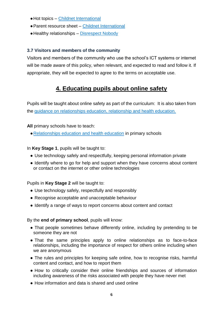- ●Hot topics [Childnet International](http://www.childnet.com/parents-and-carers/hot-topics)
- Parent resource sheet [Childnet International](https://www.childnet.com/resources/parents-and-carers-resource-sheet)
- Healthy relationships [Disrespect Nobody](https://www.disrespectnobody.co.uk/)

#### **3.7 Visitors and members of the community**

Visitors and members of the community who use the school's ICT systems or internet will be made aware of this policy, when relevant, and expected to read and follow it. If appropriate, they will be expected to agree to the terms on acceptable use.

## **4. Educating pupils about online safety**

Pupils will be taught about online safety as part of the curriculum:It is also taken from the [guidance on relationships education, relationship and health education.](https://www.gov.uk/government/publications/relationships-education-relationships-and-sex-education-rse-and-health-education)

**All** primary schools have to teach:

●[Relationships education and health education](https://schoolleaders.thekeysupport.com/uid/8b76f587-7bf6-4994-abf0-43850c6e8d73/) in primary schools

In **Key Stage 1**, pupils will be taught to:

- Use technology safely and respectfully, keeping personal information private
- Identify where to go for help and support when they have concerns about content or contact on the internet or other online technologies

Pupils in **Key Stage 2** will be taught to:

- Use technology safely, respectfully and responsibly
- Recognise acceptable and unacceptable behaviour
- Identify a range of ways to report concerns about content and contact

By the **end of primary school**, pupils will know:

- That people sometimes behave differently online, including by pretending to be someone they are not
- That the same principles apply to online relationships as to face-to-face relationships, including the importance of respect for others online including when we are anonymous
- The rules and principles for keeping safe online, how to recognise risks, harmful content and contact, and how to report them
- How to critically consider their online friendships and sources of information including awareness of the risks associated with people they have never met
- How information and data is shared and used online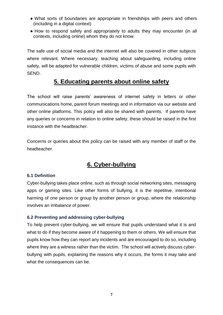- What sorts of boundaries are appropriate in friendships with peers and others (including in a digital context)
- How to respond safely and appropriately to adults they may encounter (in all contexts, including online) whom they do not know.

The safe use of social media and the internet will also be covered in other subjects where relevant. Where necessary, teaching about safeguarding, including online safety, will be adapted for vulnerable children, victims of abuse and some pupils with SEND.

## **5. Educating parents about online safety**

The school will raise parents' awareness of internet safety in letters or other communications home, parent forum meetings and in information via our website and other online platforms. This policy will also be shared with parents.If parents have any queries or concerns in relation to online safety, these should be raised in the first instance with the headteacher.

Concerns or queries about this policy can be raised with any member of staff or the headteacher.

## **6. Cyber-bullying**

#### **6.1 Definition**

Cyber-bullying takes place online, such as through social networking sites, messaging apps or gaming sites. Like other forms of bullying, it is the repetitive, intentional harming of one person or group by another person or group, where the relationship involves an imbalance of power.

#### **6.2 Preventing and addressing cyber-bullying**

To help prevent cyber-bullying, we will ensure that pupils understand what it is and what to do if they become aware of it happening to them or others. We will ensure that pupils know how they can report any incidents and are encouraged to do so, including where they are a witness rather than the victim.The school will actively discuss cyberbullying with pupils, explaining the reasons why it occurs, the forms it may take and what the consequences can be.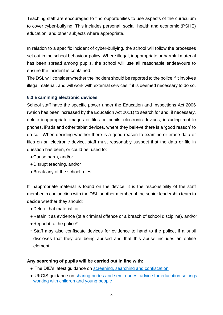Teaching staff are encouraged to find opportunities to use aspects of the curriculum to cover cyber-bullying. This includes personal, social, health and economic (PSHE) education, and other subjects where appropriate.

In relation to a specific incident of cyber-bullying, the school will follow the processes set out in the school behaviour policy. Where illegal, inappropriate or harmful material has been spread among pupils, the school will use all reasonable endeavours to ensure the incident is contained.

The DSL will consider whether the incident should be reported to the police if it involves illegal material, and will work with external services if it is deemed necessary to do so.

#### **6.3 Examining electronic devices**

School staff have the specific power under the Education and Inspections Act 2006 (which has been increased by the Education Act 2011) to search for and, if necessary, delete inappropriate images or files on pupils' electronic devices, including mobile phones, iPads and other tablet devices, where they believe there is a 'good reason' to do so. When deciding whether there is a good reason to examine or erase data or files on an electronic device, staff must reasonably suspect that the data or file in question has been, or could be, used to:

- ●Cause harm, and/or
- ●Disrupt teaching, and/or
- ●Break any of the school rules

If inappropriate material is found on the device, it is the responsibility of the staff member in conjunction with the DSL or other member of the senior leadership team to decide whether they should:

- ●Delete that material, or
- ●Retain it as evidence (of a criminal offence or a breach of school discipline), and/or
- ●Report it to the police\*
- \* Staff may also confiscate devices for evidence to hand to the police, if a pupil discloses that they are being abused and that this abuse includes an online element.

#### **Any searching of pupils will be carried out in line with:**

- The DfE's latest guidance on [screening, searching and confiscation](https://www.gov.uk/government/publications/searching-screening-and-confiscation)
- UKCIS guidance on [sharing nudes and semi-nudes: advice for education settings](https://www.gov.uk/government/publications/sharing-nudes-and-semi-nudes-advice-for-education-settings-working-with-children-and-young-people)  [working with children and young people](https://www.gov.uk/government/publications/sharing-nudes-and-semi-nudes-advice-for-education-settings-working-with-children-and-young-people)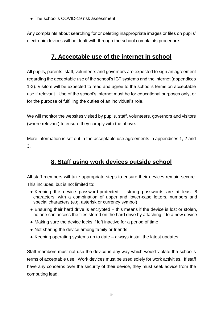• The school's COVID-19 risk assessment

Any complaints about searching for or deleting inappropriate images or files on pupils' electronic devices will be dealt with through the school complaints procedure.

## **7. Acceptable use of the internet in school**

All pupils, parents, staff, volunteers and governors are expected to sign an agreement regarding the acceptable use of the school's ICT systems and the internet (appendices 1-3). Visitors will be expected to read and agree to the school's terms on acceptable use if relevant.Use of the school's internet must be for educational purposes only, or for the purpose of fulfilling the duties of an individual's role.

We will monitor the websites visited by pupils, staff, volunteers, governors and visitors (where relevant) to ensure they comply with the above.

More information is set out in the acceptable use agreements in appendices 1, 2 and 3.

## **8. Staff using work devices outside school**

All staff members will take appropriate steps to ensure their devices remain secure. This includes, but is not limited to:

- Keeping the device password-protected strong passwords are at least 8 characters, with a combination of upper and lower-case letters, numbers and special characters (e.g. asterisk or currency symbol)
- $\bullet$  Ensuring their hard drive is encrypted  $-$  this means if the device is lost or stolen, no one can access the files stored on the hard drive by attaching it to a new device
- Making sure the device locks if left inactive for a period of time
- Not sharing the device among family or friends
- Keeping operating systems up to date always install the latest updates.

Staff members must not use the device in any way which would violate the school's terms of acceptable use. Work devices must be used solely for work activities.If staff have any concerns over the security of their device, they must seek advice from the computing lead.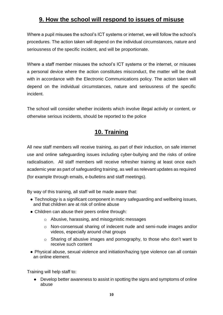## **9. How the school will respond to issues of misuse**

Where a pupil misuses the school's ICT systems or internet, we will follow the school's procedures. The action taken will depend on the individual circumstances, nature and seriousness of the specific incident, and will be proportionate.

Where a staff member misuses the school's ICT systems or the internet, or misuses a personal device where the action constitutes misconduct, the matter will be dealt with in accordance with the Electronic Communications policy. The action taken will depend on the individual circumstances, nature and seriousness of the specific incident.

The school will consider whether incidents which involve illegal activity or content, or otherwise serious incidents, should be reported to the police

## **10. Training**

All new staff members will receive training, as part of their induction, on safe internet use and online safeguarding issues including cyber-bullying and the risks of online radicalisation.All staff members will receive refresher training at least once each academic year as part of safeguarding training, as well as relevant updates as required (for example through emails, e-bulletins and staff meetings).

By way of this training, all staff will be made aware that:

- Technology is a significant component in many safeguarding and wellbeing issues, and that children are at risk of online abuse
- Children can abuse their peers online through:
	- o Abusive, harassing, and misogynistic messages
	- o Non-consensual sharing of indecent nude and semi-nude images and/or videos, especially around chat groups
	- o Sharing of abusive images and pornography, to those who don't want to receive such content
- Physical abuse, sexual violence and initiation/hazing type violence can all contain an online element.

Training will help staff to:

● Develop better awareness to assist in spotting the signs and symptoms of online abuse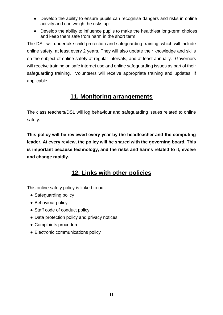- Develop the ability to ensure pupils can recognise dangers and risks in online activity and can weigh the risks up
- Develop the ability to influence pupils to make the healthiest long-term choices and keep them safe from harm in the short term

The DSL will undertake child protection and safeguarding training, which will include online safety, at least every 2 years. They will also update their knowledge and skills on the subject of online safety at regular intervals, and at least annually.Governors will receive training on safe internet use and online safeguarding issues as part of their safeguarding training.Volunteers will receive appropriate training and updates, if applicable.

## **11. Monitoring arrangements**

The class teachers/DSL will log behaviour and safeguarding issues related to online safety.

**This policy will be reviewed every year by the headteacher and the computing leader. At every review, the policy will be shared with the governing board. This is important because technology, and the risks and harms related to it, evolve and change rapidly.** 

## **12. Links with other policies**

This online safety policy is linked to our:

- Safeguarding policy
- Behaviour policy
- Staff code of conduct policy
- Data protection policy and privacy notices
- Complaints procedure
- Electronic communications policy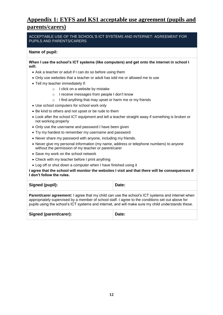## **Appendix 1: EYFS and KS1 acceptable use agreement (pupils and parents/carers)**

ACCEPTABLE USE OF THE SCHOOL'S ICT SYSTEMS AND INTERNET: AGREEMENT FOR PUPILS AND PARENTS/CARERS

#### **Name of pupil:**

**When I use the school's ICT systems (like computers) and get onto the internet in school I will:**

- Ask a teacher or adult if I can do so before using them
- Only use websites that a teacher or adult has told me or allowed me to use
- Tell my teacher immediately if:
	- o I click on a website by mistake
	- o I receive messages from people I don't know
	- o I find anything that may upset or harm me or my friends
- Use school computers for school work only
- Be kind to others and not upset or be rude to them
- Look after the school ICT equipment and tell a teacher straight away if something is broken or not working properly
- Only use the username and password I have been given
- Try my hardest to remember my username and password
- Never share my password with anyone, including my friends.
- Never give my personal information (my name, address or telephone numbers) to anyone without the permission of my teacher or parent/carer
- Save my work on the school network
- Check with my teacher before I print anything
- Log off or shut down a computer when I have finished using it

**I agree that the school will monitor the websites I visit and that there will be consequences if I don't follow the rules.**

**Parent/carer agreement:** I agree that my child can use the school's ICT systems and internet when appropriately supervised by a member of school staff. I agree to the conditions set out above for pupils using the school's ICT systems and internet, and will make sure my child understands these.

| Signed (parent/carer): | Date: |
|------------------------|-------|
|------------------------|-------|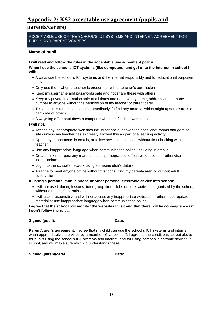## **Appendix 2: KS2 acceptable use agreement (pupils and parents/carers)**

ACCEPTABLE USE OF THE SCHOOL'S ICT SYSTEMS AND INTERNET: AGREEMENT FOR PUPILS AND PARENTS/CARERS

#### **Name of pupil:**

**I will read and follow the rules in the acceptable use agreement policy**

**When I use the school's ICT systems (like computers) and get onto the internet in school I will:**

- Always use the school's ICT systems and the internet responsibly and for educational purposes only
- Only use them when a teacher is present, or with a teacher's permission
- Keep my username and passwords safe and not share these with others
- Keep my private information safe at all times and not give my name, address or telephone number to anyone without the permission of my teacher or parent/carer
- Tell a teacher (or sensible adult) immediately if I find any material which might upset, distress or harm me or others
- Always log off or shut down a computer when I'm finished working on it

#### **I will not:**

- Access any inappropriate websites including: social networking sites, chat rooms and gaming sites unless my teacher has expressly allowed this as part of a learning activity
- Open any attachments in emails, or follow any links in emails, without first checking with a teacher
- Use any inappropriate language when communicating online, including in emails
- Create, link to or post any material that is pornographic, offensive, obscene or otherwise inappropriate
- Log in to the school's network using someone else's details
- Arrange to meet anyone offline without first consulting my parent/carer, or without adult supervision

#### **If I bring a personal mobile phone or other personal electronic device into school:**

- I will not use it during lessons, tutor group time, clubs or other activities organised by the school, without a teacher's permission
- I will use it responsibly, and will not access any inappropriate websites or other inappropriate material or use inappropriate language when communicating online

#### **I agree that the school will monitor the websites I visit and that there will be consequences if I don't follow the rules.**

| Signed (pupil):                                                                                                                                                                                                                                                                                                                                                              | Date: |  |
|------------------------------------------------------------------------------------------------------------------------------------------------------------------------------------------------------------------------------------------------------------------------------------------------------------------------------------------------------------------------------|-------|--|
| <b>Parent/carer's agreement:</b> I agree that my child can use the school's ICT systems and internet<br>when appropriately supervised by a member of school staff. I agree to the conditions set out above<br>for pupils using the school's ICT systems and internet, and for using personal electronic devices in<br>school, and will make sure my child understands these. |       |  |
| Signed (parent/carer):                                                                                                                                                                                                                                                                                                                                                       | Date: |  |